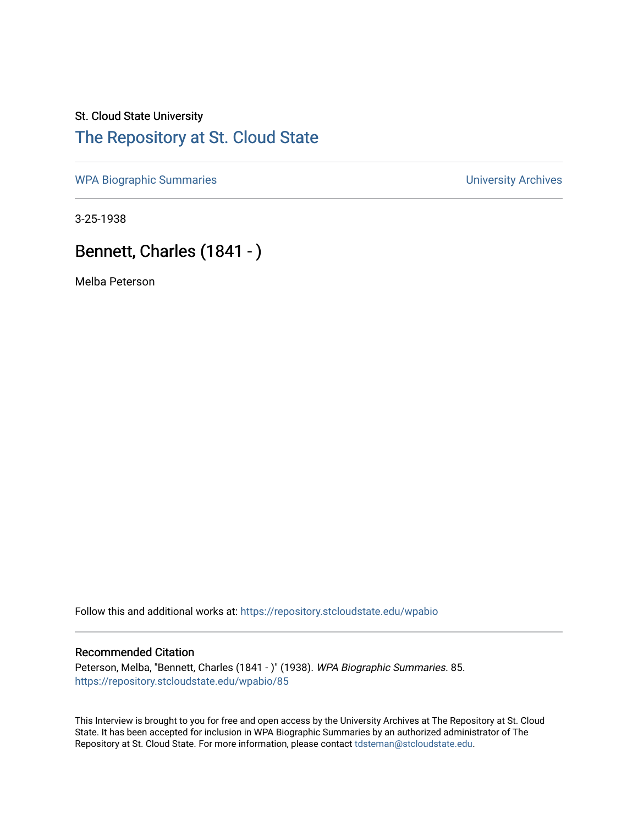## St. Cloud State University [The Repository at St. Cloud State](https://repository.stcloudstate.edu/)

[WPA Biographic Summaries](https://repository.stcloudstate.edu/wpabio) **WPA Biographic Summaries University Archives** 

3-25-1938

# Bennett, Charles (1841 - )

Melba Peterson

Follow this and additional works at: [https://repository.stcloudstate.edu/wpabio](https://repository.stcloudstate.edu/wpabio?utm_source=repository.stcloudstate.edu%2Fwpabio%2F85&utm_medium=PDF&utm_campaign=PDFCoverPages) 

#### Recommended Citation

Peterson, Melba, "Bennett, Charles (1841 - )" (1938). WPA Biographic Summaries. 85. [https://repository.stcloudstate.edu/wpabio/85](https://repository.stcloudstate.edu/wpabio/85?utm_source=repository.stcloudstate.edu%2Fwpabio%2F85&utm_medium=PDF&utm_campaign=PDFCoverPages)

This Interview is brought to you for free and open access by the University Archives at The Repository at St. Cloud State. It has been accepted for inclusion in WPA Biographic Summaries by an authorized administrator of The Repository at St. Cloud State. For more information, please contact [tdsteman@stcloudstate.edu.](mailto:tdsteman@stcloudstate.edu)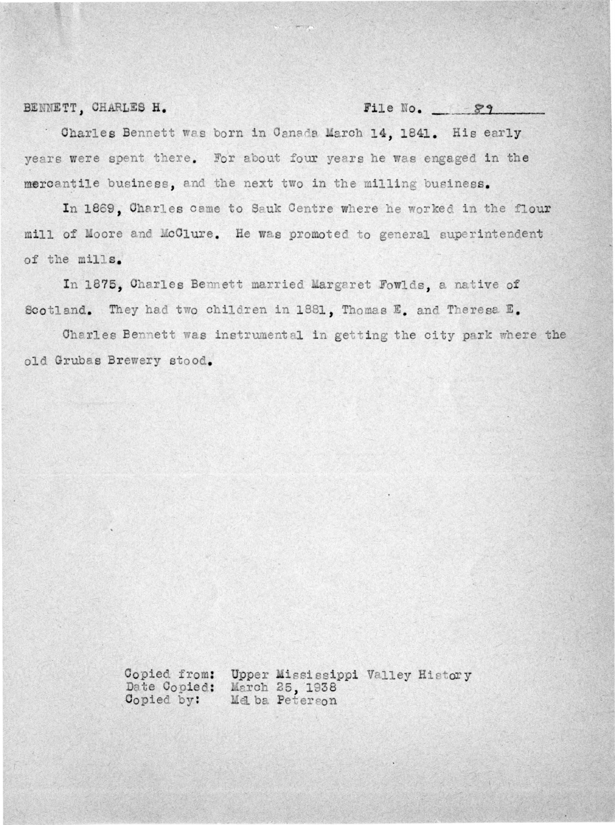#### BENNETT, CHARLES H.

#### File No. 89

Charles Bennett was born in Canada March 14, 1841. His early years were spent there. For about four years he was engaged in the mercantile business, and the next two in the milling business.

In 1869, Charles came to Sauk Centre where he worked in the flour mill of Moore and McClure. He was promoted to general superintendent of the mills.

In 1875. Charles Bennett married Margaret Fowlds, a native of Scotland. They had two children in 1881, Thomas E. and Theresa E.

Charles Bennett was instrumental in getting the city park where the old Grubas Brewery stood.

> Copied from: Upper Mississippi Valley History March 25, 1938 Date Copied: Mel ba Peterson Copied by: